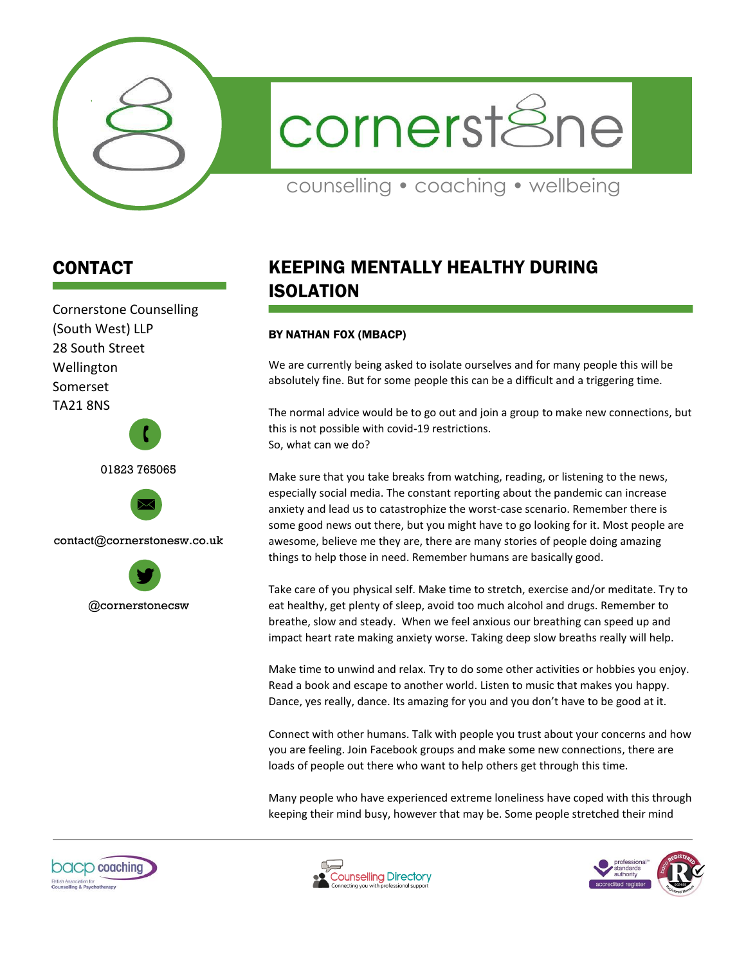

cornerstSne

counselling • coaching • wellbeing

## CONTACT

Cornerstone Counselling (South West) LLP 28 South Street Wellington Somerset TA21 8NS 01823 765065 contact@cornerstonesw.co.uk  $\mathbf{r}$ 

@cornerstonecsw

## KEEPING MENTALLY HEALTHY DURING ISOLATION

## BY NATHAN FOX (MBACP)

We are currently being asked to isolate ourselves and for many people this will be absolutely fine. But for some people this can be a difficult and a triggering time.

The normal advice would be to go out and join a group to make new connections, but this is not possible with covid-19 restrictions. So, what can we do?

Make sure that you take breaks from watching, reading, or listening to the news, especially social media. The constant reporting about the pandemic can increase anxiety and lead us to catastrophize the worst-case scenario. Remember there is some good news out there, but you might have to go looking for it. Most people are awesome, believe me they are, there are many stories of people doing amazing things to help those in need. Remember humans are basically good.

Take care of you physical self. Make time to stretch, exercise and/or meditate. Try to eat healthy, get plenty of sleep, avoid too much alcohol and drugs. Remember to breathe, slow and steady. When we feel anxious our breathing can speed up and impact heart rate making anxiety worse. Taking deep slow breaths really will help.

Make time to unwind and relax. Try to do some other activities or hobbies you enjoy. Read a book and escape to another world. Listen to music that makes you happy. Dance, yes really, dance. Its amazing for you and you don't have to be good at it.

Connect with other humans. Talk with people you trust about your concerns and how you are feeling. Join Facebook groups and make some new connections, there are loads of people out there who want to help others get through this time.

Many people who have experienced extreme loneliness have coped with this through keeping their mind busy, however that may be. Some people stretched their mind